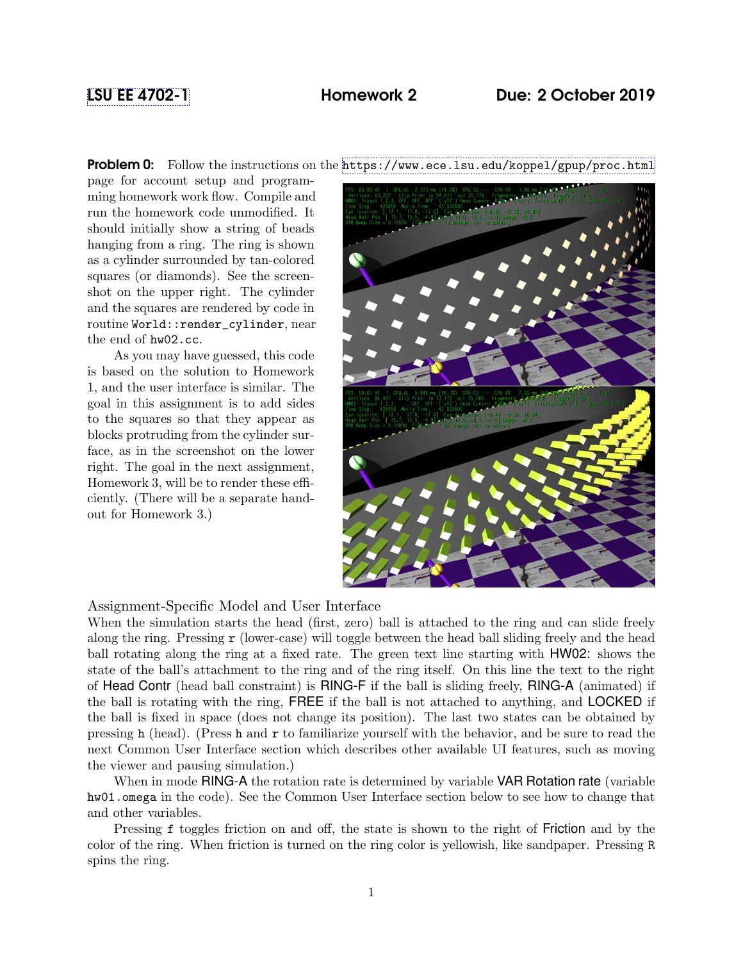# [LSU EE 4702-1](https://www.ece.lsu.edu/koppel/gpup/) Homework 2 Due: 2 October 2019

Problem 0: Follow the instructions on the <https://www.ece.lsu.edu/koppel/gpup/proc.html>

page for account setup and programming homework work flow. Compile and run the homework code unmodified. It should initially show a string of beads hanging from a ring. The ring is shown as a cylinder surrounded by tan-colored squares (or diamonds). See the screenshot on the upper right. The cylinder and the squares are rendered by code in routine World::render\_cylinder, near the end of hw02.cc.

As you may have guessed, this code is based on the solution to Homework 1, and the user interface is similar. The goal in this assignment is to add sides to the squares so that they appear as blocks protruding from the cylinder surface, as in the screenshot on the lower right. The goal in the next assignment, Homework 3, will be to render these efficiently. (There will be a separate handout for Homework 3.)



## Assignment-Specific Model and User Interface

When the simulation starts the head (first, zero) ball is attached to the ring and can slide freely along the ring. Pressing  $r$  (lower-case) will toggle between the head ball sliding freely and the head ball rotating along the ring at a fixed rate. The green text line starting with HW02: shows the state of the ball's attachment to the ring and of the ring itself. On this line the text to the right of Head Contr (head ball constraint) is RING-F if the ball is sliding freely, RING-A (animated) if the ball is rotating with the ring, FREE if the ball is not attached to anything, and LOCKED if the ball is fixed in space (does not change its position). The last two states can be obtained by pressing h (head). (Press h and r to familiarize yourself with the behavior, and be sure to read the next Common User Interface section which describes other available UI features, such as moving the viewer and pausing simulation.)

When in mode RING-A the rotation rate is determined by variable VAR Rotation rate (variable hw01.omega in the code). See the Common User Interface section below to see how to change that and other variables.

Pressing f toggles friction on and off, the state is shown to the right of Friction and by the color of the ring. When friction is turned on the ring color is yellowish, like sandpaper. Pressing R spins the ring.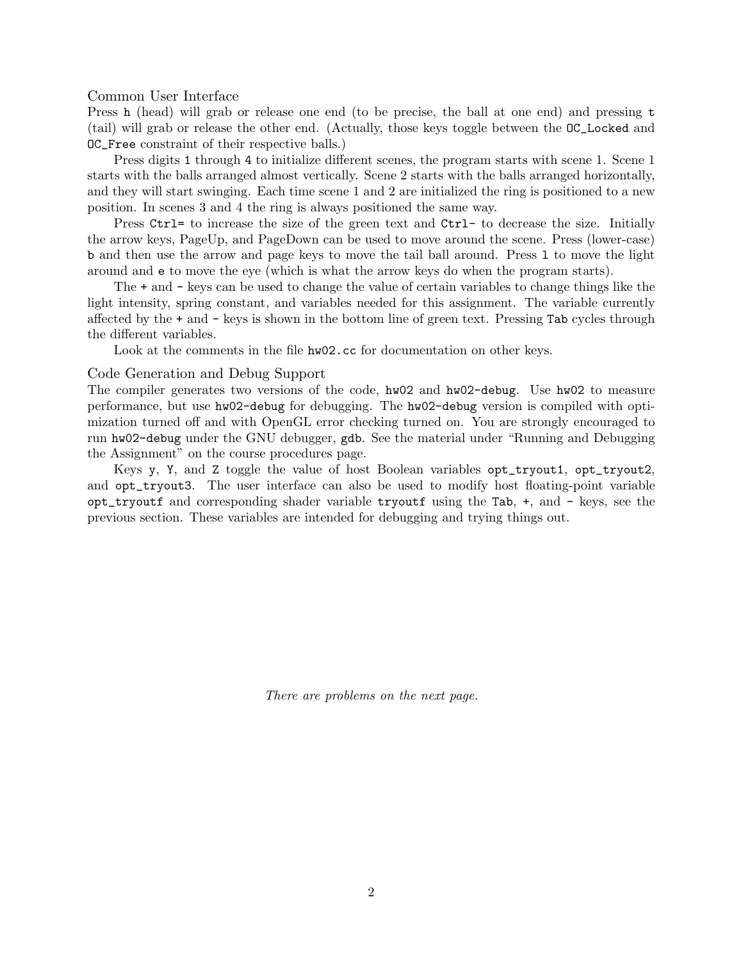Common User Interface

Press h (head) will grab or release one end (to be precise, the ball at one end) and pressing t (tail) will grab or release the other end. (Actually, those keys toggle between the OC\_Locked and OC\_Free constraint of their respective balls.)

Press digits 1 through 4 to initialize different scenes, the program starts with scene 1. Scene 1 starts with the balls arranged almost vertically. Scene 2 starts with the balls arranged horizontally, and they will start swinging. Each time scene 1 and 2 are initialized the ring is positioned to a new position. In scenes 3 and 4 the ring is always positioned the same way.

Press Ctrl= to increase the size of the green text and Ctrl- to decrease the size. Initially the arrow keys, PageUp, and PageDown can be used to move around the scene. Press (lower-case) b and then use the arrow and page keys to move the tail ball around. Press l to move the light around and e to move the eye (which is what the arrow keys do when the program starts).

The + and - keys can be used to change the value of certain variables to change things like the light intensity, spring constant, and variables needed for this assignment. The variable currently affected by the + and - keys is shown in the bottom line of green text. Pressing Tab cycles through the different variables.

Look at the comments in the file hw02.cc for documentation on other keys.

### Code Generation and Debug Support

The compiler generates two versions of the code, hw02 and hw02-debug. Use hw02 to measure performance, but use hw02-debug for debugging. The hw02-debug version is compiled with optimization turned off and with OpenGL error checking turned on. You are strongly encouraged to run hw02-debug under the GNU debugger, gdb. See the material under "Running and Debugging the Assignment" on the course procedures page.

Keys y, Y, and Z toggle the value of host Boolean variables opt\_tryout1, opt\_tryout2, and opt\_tryout3. The user interface can also be used to modify host floating-point variable opt\_tryoutf and corresponding shader variable tryoutf using the Tab, +, and - keys, see the previous section. These variables are intended for debugging and trying things out.

There are problems on the next page.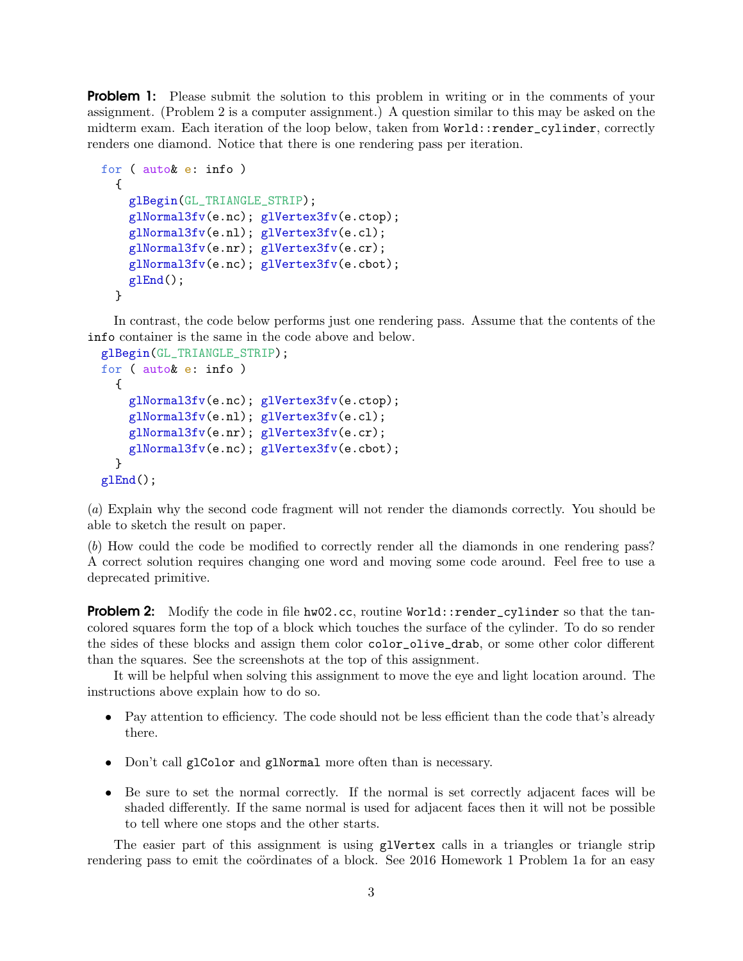**Problem 1:** Please submit the solution to this problem in writing or in the comments of your assignment. (Problem 2 is a computer assignment.) A question similar to this may be asked on the midterm exam. Each iteration of the loop below, taken from World::render\_cylinder, correctly renders one diamond. Notice that there is one rendering pass per iteration.

```
for ( auto& e: info )
  {
    glBegin(GL_TRIANGLE_STRIP);
    glNormal3fv(e.nc); glVertex3fv(e.ctop);
    glNormal3fv(e.nl); glVertex3fv(e.cl);
    glNormal3fv(e.nr); glVertex3fv(e.cr);
    glNormal3fv(e.nc); glVertex3fv(e.cbot);
    glEnd();
 }
```
In contrast, the code below performs just one rendering pass. Assume that the contents of the info container is the same in the code above and below.

```
glBegin(GL_TRIANGLE_STRIP);
for ( auto& e: info )
  {
    glNormal3fv(e.nc); glVertex3fv(e.ctop);
    glNormal3fv(e.nl); glVertex3fv(e.cl);
    glNormal3fv(e.nr); glVertex3fv(e.cr);
    glNormal3fv(e.nc); glVertex3fv(e.cbot);
  }
glEnd();
```
(a) Explain why the second code fragment will not render the diamonds correctly. You should be able to sketch the result on paper.

(b) How could the code be modified to correctly render all the diamonds in one rendering pass? A correct solution requires changing one word and moving some code around. Feel free to use a deprecated primitive.

**Problem 2:** Modify the code in file hw02.cc, routine World::render\_cylinder so that the tancolored squares form the top of a block which touches the surface of the cylinder. To do so render the sides of these blocks and assign them color color\_olive\_drab, or some other color different than the squares. See the screenshots at the top of this assignment.

It will be helpful when solving this assignment to move the eye and light location around. The instructions above explain how to do so.

- Pay attention to efficiency. The code should not be less efficient than the code that's already there.
- Don't call glColor and glNormal more often than is necessary.
- Be sure to set the normal correctly. If the normal is set correctly adjacent faces will be shaded differently. If the same normal is used for adjacent faces then it will not be possible to tell where one stops and the other starts.

The easier part of this assignment is using glvertex calls in a triangles or triangle strip rendering pass to emit the coördinates of a block. See 2016 Homework 1 Problem 1a for an easy